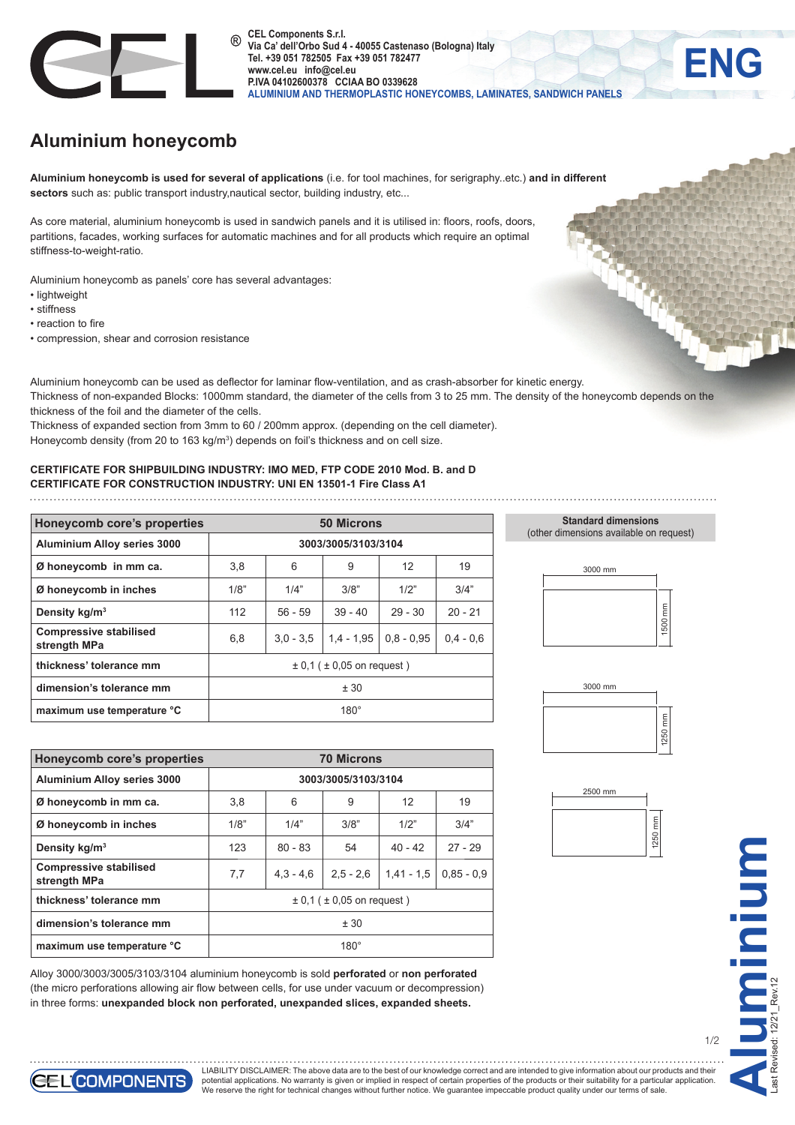

**CEL Components S.r.l. Via Ca' dell'Orbo Sud 4 - 40055 Castenaso (Bologna) Italy Tel. +39 051 782505 Fax +39 051 782477 www.cel.eu info@cel.eu P.IVA 04102600378 CCIAA BO 0339628 ALUMINIUM AND THERMOPLASTIC HONEYCOMBS, LAMINATES, SANDWICH PANELS**

## **Aluminium honeycomb**

**Aluminium honeycomb is used for several of applications** (i.e. for tool machines, for serigraphy..etc.) **and in different** sectors such as: public transport industry,nautical sector, building industry, etc...

As core material, aluminium honeycomb is used in sandwich panels and it is utilised in: floors, roofs, doors, partitions, facades, working surfaces for automatic machines and for all products which require an optimal stiffness-to-weight-ratio.

Aluminium honeycomb as panels' core has several advantages:

- lightweight
- stiffness
- reaction to fire
- compression, shear and corrosion resistance

**ENG**

Aluminium honeycomb can be used as deflector for laminar flow-ventilation, and as crash-absorber for kinetic energy. Thickness of non-expanded Blocks: 1000mm standard, the diameter of the cells from 3 to 25 mm. The density of the honeycomb depends on the thickness of the foil and the diameter of the cells.

Thickness of expanded section from 3mm to 60 / 200mm approx. (depending on the cell diameter). Honeycomb density (from 20 to 163 kg/m<sup>3</sup>) depends on foil's thickness and on cell size.

**CERTIFICATE FOR SHIPBUILDING INDUSTRY: IMO MED, FTP CODE 2010 Mod. B. and D CERTIFICATE FOR CONSTRUCTION INDUSTRY: UNI EN 13501-1 Fire Class A1**

| Honeycomb core's properties                   | <b>50 Microns</b>                  |             |              |              |             |
|-----------------------------------------------|------------------------------------|-------------|--------------|--------------|-------------|
| <b>Aluminium Alloy series 3000</b>            | 3003/3005/3103/3104                |             |              |              |             |
| Ø honeycomb in mm ca.                         | 3,8                                | 6           | 9            | 12           | 19          |
| Ø honeycomb in inches                         | 1/8"                               | 1/4"        | 3/8"         | 1/2"         | 3/4"        |
| Density kg/m <sup>3</sup>                     | 112                                | $56 - 59$   | $39 - 40$    | $29 - 30$    | $20 - 21$   |
| <b>Compressive stabilised</b><br>strength MPa | 6,8                                | $3.0 - 3.5$ | $1.4 - 1.95$ | $0.8 - 0.95$ | $0.4 - 0.6$ |
| thickness' tolerance mm                       | $\pm$ 0.1 ( $\pm$ 0.05 on request) |             |              |              |             |
| dimension's tolerance mm                      | ± 30                               |             |              |              |             |
| maximum use temperature °C                    | $180^\circ$                        |             |              |              |             |

**Standard dimensions** (other dimensions available on request)









1/2

| <b>Honeycomb core's properties</b>            | <b>70 Microns</b>                  |             |             |              |              |
|-----------------------------------------------|------------------------------------|-------------|-------------|--------------|--------------|
| Aluminium Alloy series 3000                   | 3003/3005/3103/3104                |             |             |              |              |
| Ø honeycomb in mm ca.                         | 3,8                                | 6           | 9           | 12           | 19           |
| Ø honeycomb in inches                         | 1/8"                               | 1/4"        | 3/8"        | 1/2"         | 3/4"         |
| Density kg/m <sup>3</sup>                     | 123                                | $80 - 83$   | 54          | $40 - 42$    | $27 - 29$    |
| <b>Compressive stabilised</b><br>strength MPa | 7,7                                | $4.3 - 4.6$ | $2.5 - 2.6$ | $1,41 - 1,5$ | $0.85 - 0.9$ |
| thickness' tolerance mm                       | $\pm$ 0.1 ( $\pm$ 0.05 on request) |             |             |              |              |
| dimension's tolerance mm                      | ± 30                               |             |             |              |              |
| maximum use temperature °C                    | $180^\circ$                        |             |             |              |              |

Alloy 3000/3003/3005/3103/3104 aluminium honeycomb is sold **perforated** or **non perforated**  (the micro perforations allowing air flow between cells, for use under vacuum or decompression) in three forms: **unexpanded block non perforated, unexpanded slices, expanded sheets.**



LIABILITY DISCLAIMER: The above data are to the best of our knowledge correct and are intended to give information about our products and their potential applications. No warranty is given or implied in respect of certain properties of the products or their suitability for a particular application.<br>We reserve the right for technical changes without further notice.